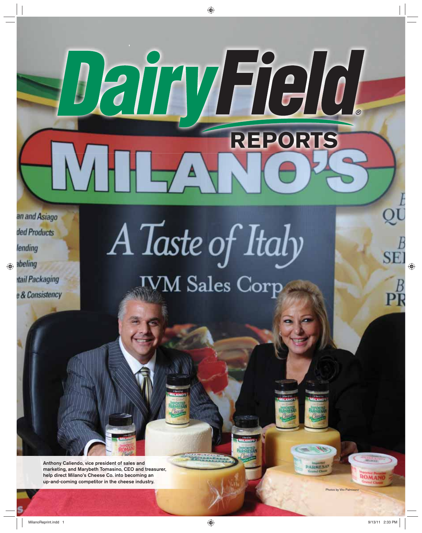and Asiago d Products nding eling il Packaging & Consistency

# A Taste of Italy **TVM Sales Corp**

 $\overline{\phantom{a}}$   $\overline{\phantom{a}}$ 

**REPORTS** 

**Anthony Caliendo, vice president of sales and marketing, and Marybeth Tomasino, CEO and treasurer, help direct Milano's Cheese Co. into becoming an up-and-coming competitor in the cheese industry.**

**ARMES** 

SF

 $\mathbf{p}_1^I$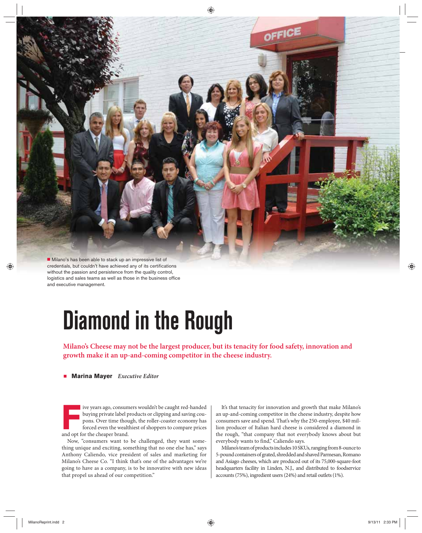

credentials, but couldn't have achieved any of its certifications without the passion and persistence from the quality control, logistics and sales teams as well as those in the business office and executive management.

## **Diamond in the Rough**

**Milano's Cheese may not be the largest producer, but its tenacity for food safety, innovation and growth make it an up-and-coming competitor in the cheese industry.**

### - **Marina Mayer** *Executive Editor*

Five years ago, consumers wouldn't be caught red-handed<br>buying private label products or clipping and saving coupons. Over time though, the roller-coaster economy has<br>forced even the wealthiest of shoppers to compare price buying private label products or clipping and saving coupons. Over time though, the roller-coaster economy has forced even the wealthiest of shoppers to compare prices and opt for the cheaper brand.

Now, "consumers want to be challenged, they want something unique and exciting, something that no one else has," says Anthony Caliendo, vice president of sales and marketing for Milano's Cheese Co. "I think that's one of the advantages we're going to have as a company, is to be innovative with new ideas that propel us ahead of our competition."

It's that tenacity for innovation and growth that make Milano's an up-and-coming competitor in the cheese industry, despite how consumers save and spend. That's why the 250-employee, \$40 million producer of Italian hard cheese is considered a diamond in the rough, "that company that not everybody knows about but everybody wants to find," Caliendo says.

Milano's team of products includes 10 SKUs, ranging from 8-ounce to 5-pound containers of grated, shredded and shaved Parmesan, Romano and Asiago cheeses, which are produced out of its 75,000-square-foot headquarters facility in Linden, N.J., and distributed to foodservice accounts (75%), ingredient users (24%) and retail outlets (1%).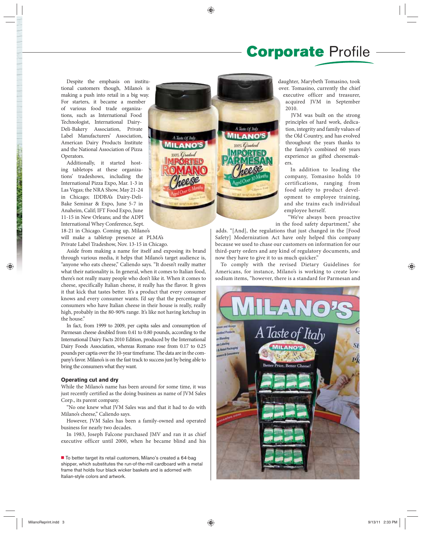### **Corporate** Profile

Despite the emphasis on institutional customers though, Milano's is making a push into retail in a big way. For starters, it became a member of various food trade organizations, such as International Food Technologist, International Dairy-Deli-Bakery Association, Private Label Manufacturers' Association, American Dairy Products Institute and the National Association of Pizza Operators.

Additionally, it started hosting tabletops at these organizations' tradeshows, including the International Pizza Expo, Mar. 1-3 in Las Vegas; the NRA Show, May 21-24 in Chicago; IDDBA's Dairy-Deli-Bake Seminar & Expo, June 5-7 in Anaheim, Calif; IFT Food Expo, June 11-15 in New Orleans; and the ADPI International Whey Conference, Sept. 18-21 in Chicago. Coming up, Milano's

will make a tabletop presence at PLMA's Private Label Tradeshow, Nov. 13-15 in Chicago.

Aside from making a name for itself and exposing its brand through various media, it helps that Milano's target audience is, "anyone who eats cheese," Caliendo says. "It doesn't really matter what their nationality is. In general, when it comes to Italian food, there's not really many people who don't like it. When it comes to cheese, specifically Italian cheese, it really has the flavor. It gives it that kick that tastes better. It's a product that every consumer knows and every consumer wants. I'd say that the percentage of consumers who have Italian cheese in their house is really, really high, probably in the 80-90% range. It's like not having ketchup in the house."

In fact, from 1999 to 2009, per capita sales and consumption of Parmesan cheese doubled from 0.41 to 0.80 pounds, according to the International Dairy Facts 2010 Edition, produced by the International Dairy Foods Association, whereas Romano rose from 0.17 to 0.25 pounds per captia over the 10-year timeframe. The data are in the company's favor. Milano's is on the fast track to success just by being able to bring the consumers what they want.

#### **Operating cut and dry**

While the Milano's name has been around for some time, it was just recently certified as the doing business as name of JVM Sales Corp., its parent company.

"No one knew what JVM Sales was and that it had to do with Milano's cheese," Caliendo says.

However, JVM Sales has been a family-owned and operated business for nearly two decades.

In 1983, Joseph Falcone purchased JMV and ran it as chief executive officer until 2000, when he became blind and his

To better target its retail customers, Milano's created a 64-bag shipper, which substitutes the run-of-the-mill cardboard with a metal frame that holds four black wicker baskets and is adorned with Italian-style colors and artwork.



daughter, Marybeth Tomasino, took over. Tomasino, currently the chief executive officer and treasurer, acquired JVM in September 2010.

JVM was built on the strong principles of hard work, dedication, integrity and family values of the Old Country, and has evolved throughout the years thanks to the family's combined 60 years experience as gifted cheesemakers.

In addition to leading the company, Tomasino holds 10 certifications, ranging from food safety to product development to employee training, and she trains each individual employee herself.

"We've always been proactive in the food safety department," she

adds. "[And], the regulations that just changed in the [Food Safety] Modernization Act have only helped this company because we used to chase our customers on information for our third-party orders and any kind of regulatory documents, and now they have to give it to us much quicker."

To comply with the revised Dietary Guidelines for Americans, for instance, Milano's is working to create lowsodium items, "however, there is a standard for Parmesan and

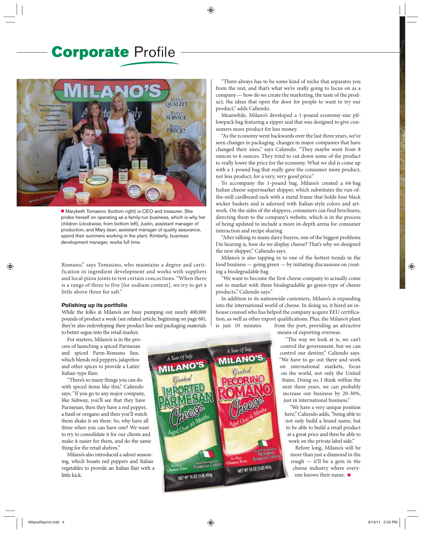## **Corporate** Profile



■ Marybeth Tomasino (bottom right) is CEO and treasurer. She prides herself on operating as a family-run business, which is why her children (clockwise, from bottom left), Justin, assistant manager of production, and Mary Jean, assistant manager of quality assurance, spend their summers working in the plant. Kimberly, business development manager, works full time.

Romano," says Tomasino, who maintains a degree and certification in ingredient development and works with suppliers and local pizza joints to test certain concoctions. "When there is a range of three to five [for sodium content], we try to get a little above three for salt."

#### **Polishing up its portfolio**

While the folks at Milano's are busy pumping out nearly 400,000 pounds of product a week (see related article, beginning on page 68), they're also redeveloping their product line and packaging materials to better segue into the retail market.

For starters, Milano's is in the process of launching a spiced Parmesan and spiced Parm-Romano line, which blends red peppers, jalapeños and other spices to provide a Latin/ Italian-type flare.

"There's so many things you can do with spiced items like this," Caliendo says. "If you go to any major company, like Subway, you'll see that they have Parmesan, then they have a red pepper, a basil or oregano and then you'll watch them shake it on there. So, why have all three when you can have one? We want to try to consolidate it for our clients and make it easier for them, and do the same thing for the retail shelves."

Milano's also introduced a sabori seasoning, which boasts red peppers and Italian vegetables to provide an Italian flair with a little kick.

"There always has to be some kind of niche that separates you from the rest, and that's what we're really going to focus on as a company — how do we create the marketing, the taste of the product, the ideas that open the door for people to want to try our product," adds Caliendo.

Meanwhile, Milano's developed a 1-pound economy-size pillowpack bag featuring a zipper seal that was designed to give consumers more product for less money.

"As the economy went backwards over the last three years, we've seen changes in packaging, changes in major companies that have changed their sizes," says Caliendo. "They maybe went from 8 ounces to 6 ounces. They tried to cut down some of the product to really lower the price for the economy. What we did is come up with a 1-pound bag that really gave the consumer more product, not less product, for a very, very good price."

To accompany the 1-pound bag, Milano's created a 64-bag Italian cheese supermarket shipper, which substitutes the run-ofthe-mill cardboard rack with a metal frame that holds four black wicker baskets and is adorned with Italian-style colors and artwork. On the sides of the shippers, consumers can find brochures, directing them to the company's website, which is in the process of being updated to include a more in-depth arena for consumer interaction and recipe sharing.

"After talking to many dairy buyers, one of the biggest problems I'm hearing is, how do we display cheese? That's why we designed the new shipper," Caliendo says.

Milano's is also tapping in to one of the hottest trends in the food business — going green — by initiating discussions on creating a biodegradable bag.

"We want to become the first cheese company to actually come out to market with these biodegradable go green-type of cheese products," Caliendo says."

In addition to its nationwide customers, Milano's is expanding into the international world of cheese. In doing so, it hired an inhouse counsel who has helped the company acquire EEU certification, as well as other export qualifications. Plus, the Milano's plant is just 10 minutes from the port, providing an attractive

means of exporting overseas.

"The way we look at is, we can't control the government, but we can control our destiny," Caliendo says. "We have to go out there and work on international markets, focus on the world, not only the United States. Doing so, I think within the next three years, we can probably increase our business by 20-30%, just in international business."

"We have a very unique position here," Caliendo adds, "being able to not only build a brand name, but to be able to build a retail product at a great price and then be able to work on the private label side."

Before long, Milano's will be more than just a diamond in the rough — it'll be a gem in the cheese industry where everyone knows their name.  $\blacksquare$ 

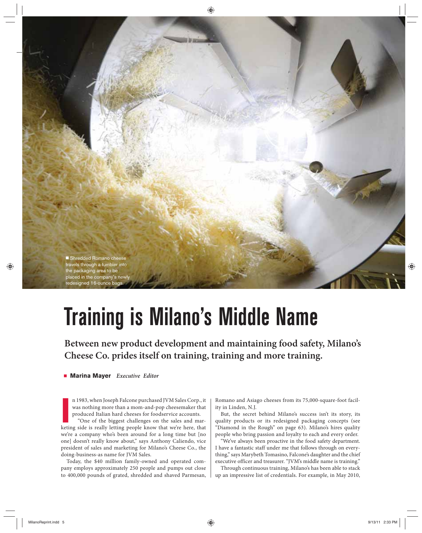

## **Training is Milano's Middle Name**

**Between new product development and maintaining food safety, Milano's Cheese Co. prides itself on training, training and more training.** 

- **Marina Mayer** *Executive Editor*

IIM Sales Corp., it was nothing more than a mom-and-pop cheesemaker that produced Italian hard cheeses for foodservice accounts. "One of the biggest challenges on the sales and marketing side is really letting people know n 1983, when Joseph Falcone purchased JVM Sales Corp., it was nothing more than a mom-and-pop cheesemaker that produced Italian hard cheeses for foodservice accounts.

"One of the biggest challenges on the sales and marwe're a company who's been around for a long time but [no one] doesn't really know about," says Anthony Caliendo, vice president of sales and marketing for Milano's Cheese Co., the doing-business-as name for JVM Sales.

Today, the \$40 million family-owned and operated company employs approximately 250 people and pumps out close to 400,000 pounds of grated, shredded and shaved Parmesan, Romano and Asiago cheeses from its 75,000-square-foot facility in Linden, N.J.

But, the secret behind Milano's success isn't its story, its quality products or its redesigned packaging concepts (see "Diamond in the Rough" on page 63). Milano's hires quality people who bring passion and loyalty to each and every order.

"We've always been proactive in the food safety department. I have a fantastic staff under me that follows through on everything," says Marybeth Tomasino, Falcone's daughter and the chief executive officer and treasurer. "JVM's middle name is training."

Through continuous training, Milano's has been able to stack up an impressive list of credentials. For example, in May 2010,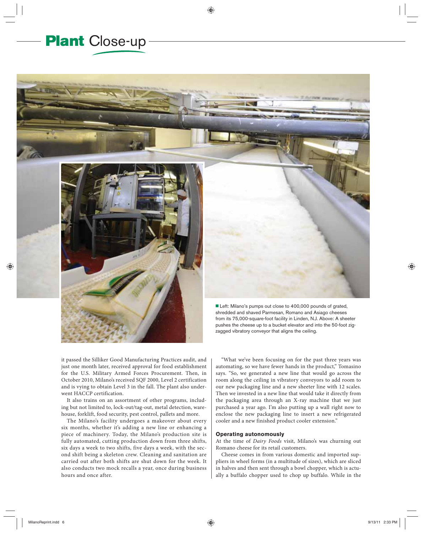## **Plant** Close-up



Left: Milano's pumps out close to 400,000 pounds of grated, shredded and shaved Parmesan, Romano and Asiago cheeses from its 75,000-square-foot facility in Linden, N.J. Above: A sheeter pushes the cheese up to a bucket elevator and into the 50-foot zigzagged vibratory conveyor that aligns the ceiling.

it passed the Silliker Good Manufacturing Practices audit, and just one month later, received approval for food establishment for the U.S. Military Armed Forces Procurement. Then, in October 2010, Milano's received SQF 2000, Level 2 certification and is vying to obtain Level 3 in the fall. The plant also underwent HACCP certification.

It also trains on an assortment of other programs, including but not limited to, lock-out/tag-out, metal detection, warehouse, forklift, food security, pest control, pallets and more.

The Milano's facility undergoes a makeover about every six months, whether it's adding a new line or enhancing a piece of machinery. Today, the Milano's production site is fully automated, cutting production down from three shifts, six days a week to two shifts, five days a week, with the second shift being a skeleton crew. Cleaning and sanitation are carried out after both shifts are shut down for the week. It also conducts two mock recalls a year, once during business hours and once after.

"What we've been focusing on for the past three years was automating, so we have fewer hands in the product," Tomasino says. "So, we generated a new line that would go across the room along the ceiling in vibratory conveyors to add room to our new packaging line and a new sheeter line with 12 scales. Then we invested in a new line that would take it directly from the packaging area through an X-ray machine that we just purchased a year ago. I'm also putting up a wall right now to enclose the new packaging line to insert a new refrigerated cooler and a new finished product cooler extension."

### **Operating autonomously**

At the time of *Dairy Foods* visit, Milano's was churning out Romano cheese for its retail customers.

Cheese comes in from various domestic and imported suppliers in wheel forms (in a multitude of sizes), which are sliced in halves and then sent through a bowl chopper, which is actually a buffalo chopper used to chop up buffalo. While in the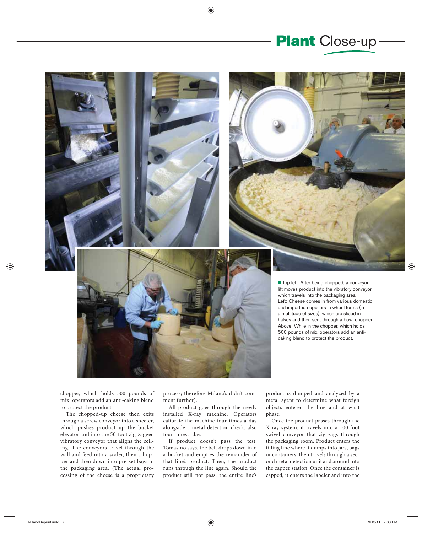



chopper, which holds 500 pounds of mix, operators add an anti-caking blend to protect the product.

The chopped-up cheese then exits through a screw conveyor into a sheeter, which pushes product up the bucket elevator and into the 50-foot zig-zagged vibratory conveyor that aligns the ceiling. The conveyors travel through the wall and feed into a scaler, then a hopper and then down into pre-set bags in the packaging area. (The actual processing of the cheese is a proprietary

process; therefore Milano's didn't comment further).

All product goes through the newly installed X-ray machine. Operators calibrate the machine four times a day alongside a metal detection check, also four times a day.

If product doesn't pass the test, Tomasino says, the belt drops down into a bucket and empties the remainder of that line's product. Then, the product runs through the line again. Should the product still not pass, the entire line's

product is dumped and analyzed by a metal agent to determine what foreign objects entered the line and at what phase.

Once the product passes through the X-ray system, it travels into a 100-foot swivel conveyor that zig zags through the packaging room. Product enters the filling line where it dumps into jars, bags or containers, then travels through a second metal detection unit and around into the capper station. Once the container is capped, it enters the labeler and into the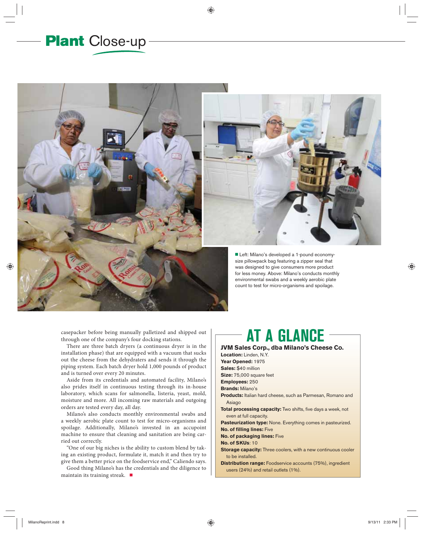## **Plant** Close-up



casepacker before being manually palletized and shipped out through one of the company's four docking stations.

There are three batch dryers (a continuous dryer is in the installation phase) that are equipped with a vacuum that sucks out the cheese from the dehydraters and sends it through the piping system. Each batch dryer hold 1,000 pounds of product and is turned over every 20 minutes.

Aside from its credentials and automated facility, Milano's also prides itself in continuous testing through its in-house laboratory, which scans for salmonella, listeria, yeast, mold, moisture and more. All incoming raw materials and outgoing orders are tested every day, all day.

Milano's also conducts monthly environmental swabs and a weekly aerobic plate count to test for micro-organisms and spoilage. Additionally, Milano's invested in an accupoint machine to ensure that cleaning and sanitation are being carried out correctly.

"One of our big niches is the ability to custom blend by taking an existing product, formulate it, match it and then try to give them a better price on the foodservice end," Caliendo says.

Good thing Milano's has the credentials and the diligence to maintain its training streak.  $\blacksquare$ 

## **AT A GLANCE**

**JVM Sales Corp., dba Milano's Cheese Co. Location:** Linden, N.Y. **Year Opened:** 1975 **Sales:** \$40 million **Size:** 75,000 square feet **Employees:** 250 **Brands:** Milano's **Products:** Italian hard cheese, such as Parmesan, Romano and Asiago **Total processing capacity:** Two shifts, five days a week, not even at full capacity. **Pasteurization type:** None. Everything comes in pasteurized. **No. of filling lines:** Five **No. of packaging lines:** Five **No. of SKUs**: 10 **Storage capacity:** Three coolers, with a new continuous cooler to be installed. **Distribution range:** Foodservice accounts (75%), ingredient users (24%) and retail outlets (1%).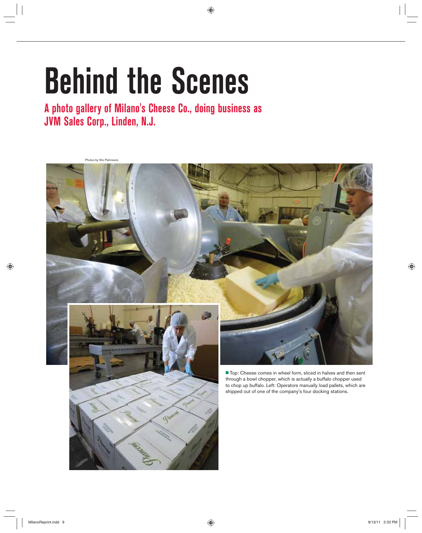# **Behind the Scenes**

**A photo gallery of Milano's Cheese Co., doing business as JVM Sales Corp., Linden, N.J.**

Photos by Vito Palmisano